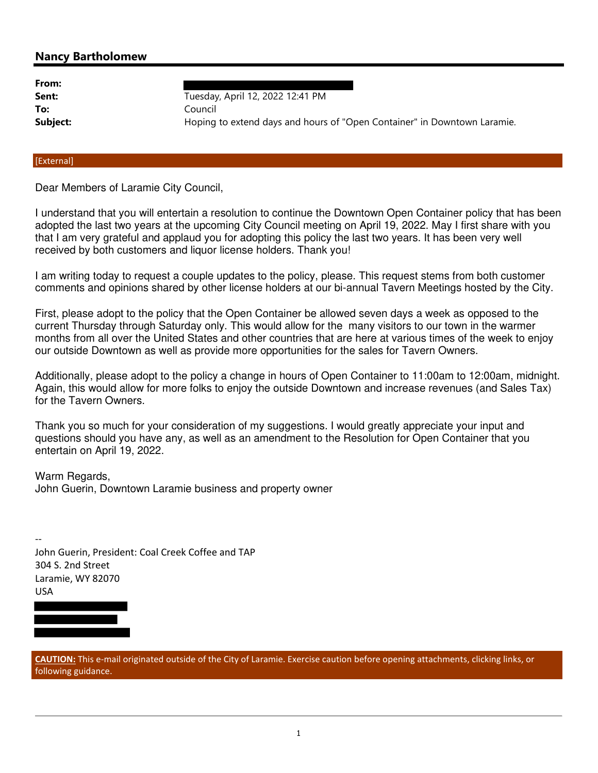## **Nancy Bartholomew**

| From:    |                                                                          |
|----------|--------------------------------------------------------------------------|
| Sent:    | Tuesday, April 12, 2022 12:41 PM                                         |
| To:      | Council                                                                  |
| Subject: | Hoping to extend days and hours of "Open Container" in Downtown Laramie. |
|          |                                                                          |

## [External]

Dear Members of Laramie City Council,

I understand that you will entertain a resolution to continue the Downtown Open Container policy that has been adopted the last two years at the upcoming City Council meeting on April 19, 2022. May I first share with you that I am very grateful and applaud you for adopting this policy the last two years. It has been very well received by both customers and liquor license holders. Thank you!

I am writing today to request a couple updates to the policy, please. This request stems from both customer comments and opinions shared by other license holders at our bi-annual Tavern Meetings hosted by the City.

First, please adopt to the policy that the Open Container be allowed seven days a week as opposed to the current Thursday through Saturday only. This would allow for the many visitors to our town in the warmer months from all over the United States and other countries that are here at various times of the week to enjoy our outside Downtown as well as provide more opportunities for the sales for Tavern Owners.

Additionally, please adopt to the policy a change in hours of Open Container to 11:00am to 12:00am, midnight. Again, this would allow for more folks to enjoy the outside Downtown and increase revenues (and Sales Tax) for the Tavern Owners.

Thank you so much for your consideration of my suggestions. I would greatly appreciate your input and questions should you have any, as well as an amendment to the Resolution for Open Container that you entertain on April 19, 2022.

Warm Regards, John Guerin, Downtown Laramie business and property owner

-- John Guerin, President: Coal Creek Coffee and TAP 304 S. 2nd Street Laramie, WY 82070 USA

**CAUTION:** This e-mail originated outside of the City of Laramie. Exercise caution before opening attachments, clicking links, or following guidance.